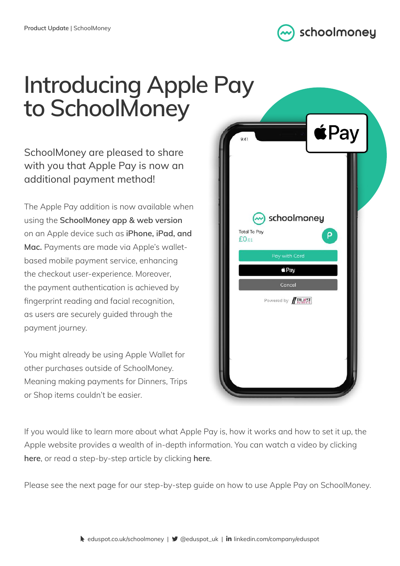

## **Introducing Apple Pay to SchoolMoney**

SchoolMoney are pleased to share with you that Apple Pay is now an additional payment method!

The Apple Pay addition is now available when using the **SchoolMoney app & web version** on an Apple device such as **iPhone, iPad, and Mac.** Payments are made via Apple's walletbased mobile payment service, enhancing the checkout user-experience. Moreover, the payment authentication is achieved by fingerprint reading and facial recognition, as users are securely guided through the payment journey.

You might already be using Apple Wallet for other purchases outside of SchoolMoney. Meaning making payments for Dinners, Trips or Shop items couldn't be easier.



If you would like to learn more about what Apple Pay is, how it works and how to set it up, the Apple website provides a wealth of in-depth information. You can [watch a video by clicking](https://www.youtube.com/watch?v=uDQKTPuC0oA&feature=emb_title)  **[here](https://www.youtube.com/watch?v=uDQKTPuC0oA&feature=emb_title)**, or [read a step-by-step article by clicking](https://www.apple.com/uk/apple-pay/) **here**.

Please see the next page for our step-by-step guide on how to use Apple Pay on SchoolMoney.